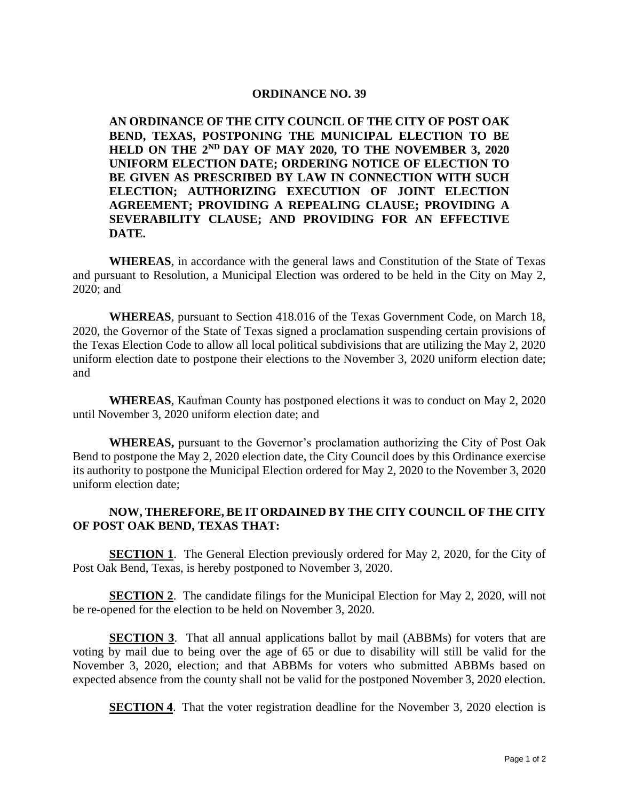#### **ORDINANCE NO. 39**

**AN ORDINANCE OF THE CITY COUNCIL OF THE CITY OF POST OAK BEND, TEXAS, POSTPONING THE MUNICIPAL ELECTION TO BE HELD ON THE 2ND DAY OF MAY 2020, TO THE NOVEMBER 3, 2020 UNIFORM ELECTION DATE; ORDERING NOTICE OF ELECTION TO BE GIVEN AS PRESCRIBED BY LAW IN CONNECTION WITH SUCH ELECTION; AUTHORIZING EXECUTION OF JOINT ELECTION AGREEMENT; PROVIDING A REPEALING CLAUSE; PROVIDING A SEVERABILITY CLAUSE; AND PROVIDING FOR AN EFFECTIVE DATE.**

**WHEREAS**, in accordance with the general laws and Constitution of the State of Texas and pursuant to Resolution, a Municipal Election was ordered to be held in the City on May 2, 2020; and

**WHEREAS**, pursuant to Section 418.016 of the Texas Government Code, on March 18, 2020, the Governor of the State of Texas signed a proclamation suspending certain provisions of the Texas Election Code to allow all local political subdivisions that are utilizing the May 2, 2020 uniform election date to postpone their elections to the November 3, 2020 uniform election date; and

**WHEREAS**, Kaufman County has postponed elections it was to conduct on May 2, 2020 until November 3, 2020 uniform election date; and

**WHEREAS,** pursuant to the Governor's proclamation authorizing the City of Post Oak Bend to postpone the May 2, 2020 election date, the City Council does by this Ordinance exercise its authority to postpone the Municipal Election ordered for May 2, 2020 to the November 3, 2020 uniform election date;

## **NOW, THEREFORE, BE IT ORDAINED BY THE CITY COUNCIL OF THE CITY OF POST OAK BEND, TEXAS THAT:**

**SECTION 1**. The General Election previously ordered for May 2, 2020, for the City of Post Oak Bend, Texas, is hereby postponed to November 3, 2020.

**SECTION 2.** The candidate filings for the Municipal Election for May 2, 2020, will not be re-opened for the election to be held on November 3, 2020.

**SECTION 3.** That all annual applications ballot by mail (ABBMs) for voters that are voting by mail due to being over the age of 65 or due to disability will still be valid for the November 3, 2020, election; and that ABBMs for voters who submitted ABBMs based on expected absence from the county shall not be valid for the postponed November 3, 2020 election.

**SECTION 4.** That the voter registration deadline for the November 3, 2020 election is